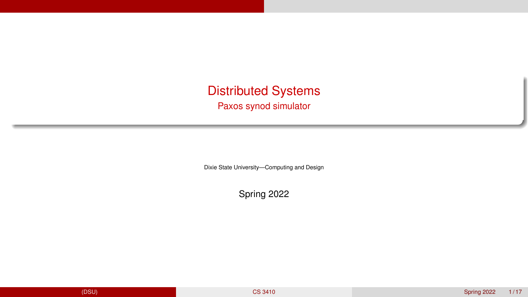<span id="page-0-0"></span>Distributed Systems

Paxos synod simulator

Dixie State University—Computing and Design

Spring 2022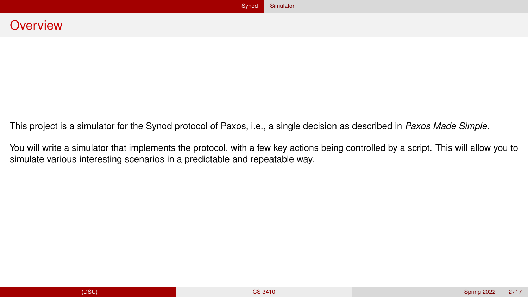<span id="page-1-0"></span>This project is a simulator for the Synod protocol of Paxos, i.e., a single decision as described in *Paxos Made Simple*.

You will write a simulator that implements the protocol, with a few key actions being controlled by a script. This will allow you to simulate various interesting scenarios in a predictable and repeatable way.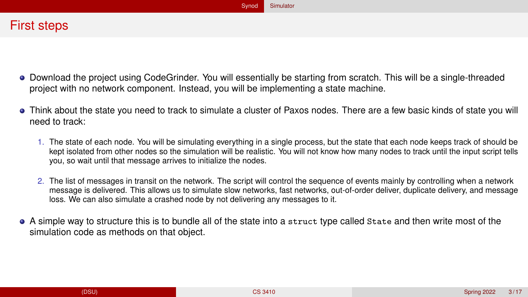- Download the project using CodeGrinder. You will essentially be starting from scratch. This will be a single-threaded project with no network component. Instead, you will be implementing a state machine.
- Think about the state you need to track to simulate a cluster of Paxos nodes. There are a few basic kinds of state you will need to track:
	- 1. The state of each node. You will be simulating everything in a single process, but the state that each node keeps track of should be kept isolated from other nodes so the simulation will be realistic. You will not know how many nodes to track until the input script tells you, so wait until that message arrives to initialize the nodes.
	- 2. The list of messages in transit on the network. The script will control the sequence of events mainly by controlling when a network message is delivered. This allows us to simulate slow networks, fast networks, out-of-order deliver, duplicate delivery, and message loss. We can also simulate a crashed node by not delivering any messages to it.
- A simple way to structure this is to bundle all of the state into a struct type called State and then write most of the simulation code as methods on that object.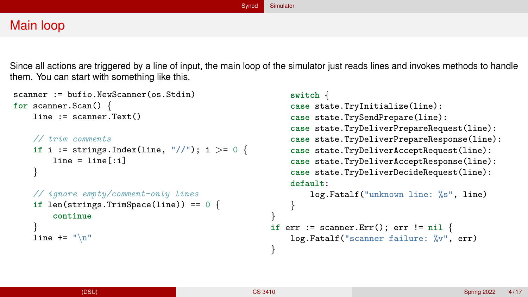## Main loop

Since all actions are triggered by a line of input, the main loop of the simulator just reads lines and invokes methods to handle them. You can start with something like this.

```
scanner := bufio. NewScanner(os. Stdin)
for scanner.Scan() {
    line := scanner.Text()// trim comments
    if i := strings.Index(line, ''//''); i >= 0 {
        line = line[:i]}
    // ignore empty/comment-only lines
    if len(strings.TrimSpace(line)) == 0 {
        continue
    }
    line += "\ln"
                                                          switch {
                                                          case state.TryInitialize(line):
                                                          case state.TrySendPrepare(line):
                                                          case state.TryDeliverPrepareRequest(line):
                                                          case state.TryDeliverPrepareResponse(line):
                                                          case state.TryDeliverAcceptRequest(line):
                                                          case state.TryDeliverAcceptResponse(line):
                                                          case state.TryDeliverDecideRequest(line):
                                                          default:
                                                              log.Fatalf("unknown line: %s", line)
                                                          }
                                                      }
                                                      if err := scanner.Err(); err != nil {
                                                          log.Fatalf("scanner failure: %v", err)
                                                      }
```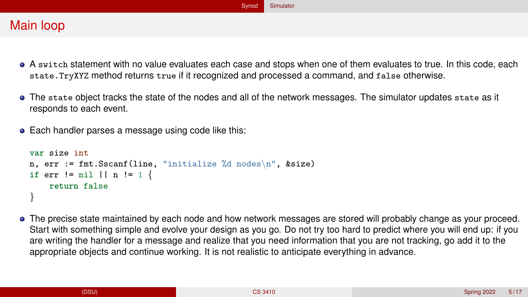# Main loop

- A switch statement with no value evaluates each case and stops when one of them evaluates to true. In this code, each state.TryXYZ method returns true if it recognized and processed a command, and false otherwise.
- The state object tracks the state of the nodes and all of the network messages. The simulator updates state as it responds to each event.
- Each handler parses a message using code like this:

```
var size int
n, err := fmt.Sscanf(line, "initialize %d nodes\n", &size)
if err != nil \vert\vert n != 1 \{return false
}
```
The precise state maintained by each node and how network messages are stored will probably change as your proceed. Start with something simple and evolve your design as you go. Do not try too hard to predict where you will end up: if you are writing the handler for a message and realize that you need information that you are not tracking, go add it to the appropriate objects and continue working. It is not realistic to anticipate everything in advance.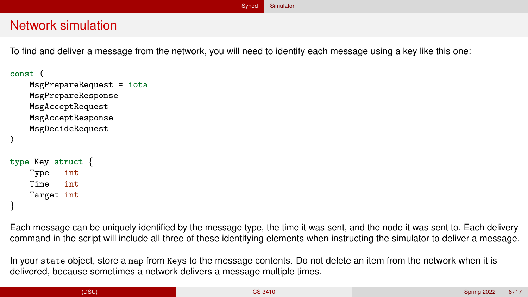### Network simulation

To find and deliver a message from the network, you will need to identify each message using a key like this one:

```
const (
    MsgPrepareRequest = iota
    MsgPrepareResponse
    MsgAcceptRequest
    MsgAcceptResponse
    MsgDecideRequest
)
type Key struct {
    Type int
    Time int
    Target int
}
```
Each message can be uniquely identified by the message type, the time it was sent, and the node it was sent to. Each delivery command in the script will include all three of these identifying elements when instructing the simulator to deliver a message.

In your state object, store a map from Keys to the message contents. Do not delete an item from the network when it is delivered, because sometimes a network delivers a message multiple times.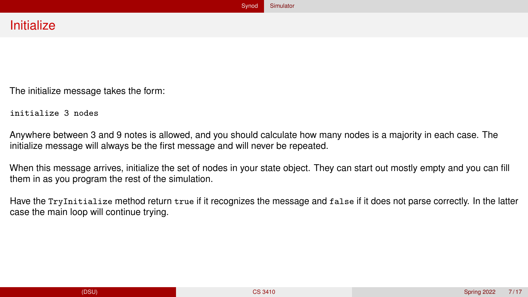The initialize message takes the form:

initialize 3 nodes

Anywhere between 3 and 9 notes is allowed, and you should calculate how many nodes is a majority in each case. The initialize message will always be the first message and will never be repeated.

When this message arrives, initialize the set of nodes in your state object. They can start out mostly empty and you can fill them in as you program the rest of the simulation.

Have the TryInitialize method return true if it recognizes the message and false if it does not parse correctly. In the latter case the main loop will continue trying.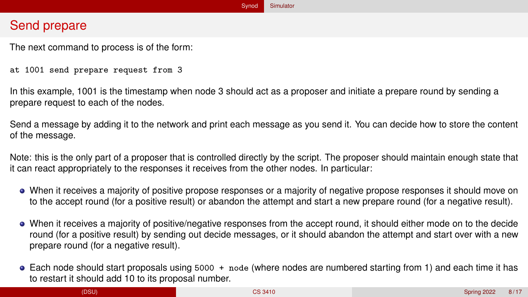## Send prepare

The next command to process is of the form:

at 1001 send prepare request from 3

In this example, 1001 is the timestamp when node 3 should act as a proposer and initiate a prepare round by sending a prepare request to each of the nodes.

Send a message by adding it to the network and print each message as you send it. You can decide how to store the content of the message.

Note: this is the only part of a proposer that is controlled directly by the script. The proposer should maintain enough state that it can react appropriately to the responses it receives from the other nodes. In particular:

- When it receives a majority of positive propose responses or a majority of negative propose responses it should move on to the accept round (for a positive result) or abandon the attempt and start a new prepare round (for a negative result).
- When it receives a majority of positive/negative responses from the accept round, it should either mode on to the decide round (for a positive result) by sending out decide messages, or it should abandon the attempt and start over with a new prepare round (for a negative result).
- Each node should start proposals using 5000 + node (where nodes are numbered starting from 1) and each time it has to restart it should add 10 to its proposal number.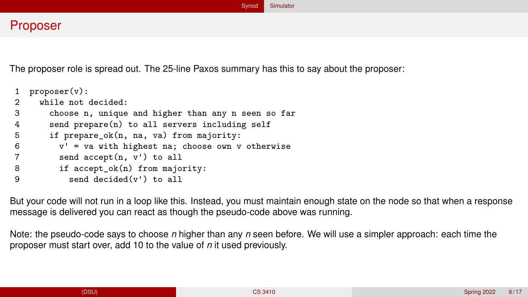### Proposer

The proposer role is spread out. The 25-line Paxos summary has this to say about the proposer:

```
proposer(v):2 while not decided:<br>3 choose n. unique
       choose n, unique and higher than any n seen so far
4 send prepare(n) to all servers including self
5 if prepare_ok(n, na, va) from majority:<br>6 v' = va with highest na: choose own v
         v' = va with highest na; choose own v otherwise
7 send accept(n, v') to all
8 if accept_ok(n) from majority:
9 send decided(v') to all
```
But your code will not run in a loop like this. Instead, you must maintain enough state on the node so that when a response message is delivered you can react as though the pseudo-code above was running.

Note: the pseudo-code says to choose *n* higher than any *n* seen before. We will use a simpler approach: each time the proposer must start over, add 10 to the value of *n* it used previously.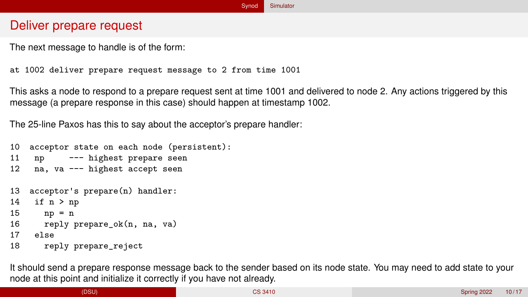## Deliver prepare request

The next message to handle is of the form:

at 1002 deliver prepare request message to 2 from time 1001

This asks a node to respond to a prepare request sent at time 1001 and delivered to node 2. Any actions triggered by this message (a prepare response in this case) should happen at timestamp 1002.

The 25-line Paxos has this to say about the acceptor's prepare handler:

```
10 acceptor state on each node (persistent):
11 np --- highest prepare seen
12 na, va --- highest accept seen
13 acceptor's prepare(n) handler:
14 if n > np15 np = n
16 reply prepare ok(n, na, va)
17 else
18 reply prepare_reject
```
It should send a prepare response message back to the sender based on its node state. You may need to add state to your node at this point and initialize it correctly if you have not already.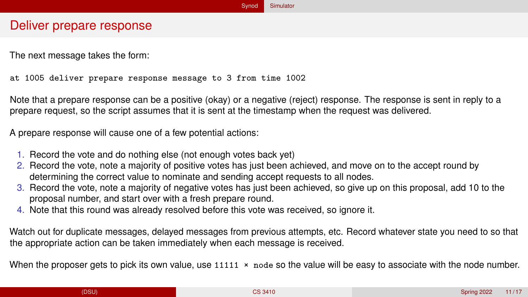### Deliver prepare response

The next message takes the form:

at 1005 deliver prepare response message to 3 from time 1002

Note that a prepare response can be a positive (okay) or a negative (reject) response. The response is sent in reply to a prepare request, so the script assumes that it is sent at the timestamp when the request was delivered.

A prepare response will cause one of a few potential actions:

- 1. Record the vote and do nothing else (not enough votes back yet)
- 2. Record the vote, note a majority of positive votes has just been achieved, and move on to the accept round by determining the correct value to nominate and sending accept requests to all nodes.
- 3. Record the vote, note a majority of negative votes has just been achieved, so give up on this proposal, add 10 to the proposal number, and start over with a fresh prepare round.
- 4. Note that this round was already resolved before this vote was received, so ignore it.

Watch out for duplicate messages, delayed messages from previous attempts, etc. Record whatever state you need to so that the appropriate action can be taken immediately when each message is received.

When the proposer gets to pick its own value, use 11111  $\times$  node so the value will be easy to associate with the node number.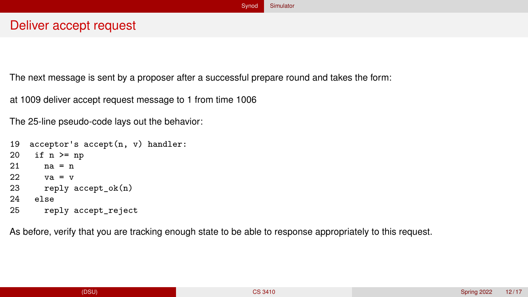### Deliver accept request

The next message is sent by a proposer after a successful prepare round and takes the form:

at 1009 deliver accept request message to 1 from time 1006

The 25-line pseudo-code lays out the behavior:

```
19 acceptor's accept(n, v) handler:<br>20 if n \ge nif n \geq np21 na = n
22 va = v23 reply accept ok(n)24 else
25 reply accept_reject
```
As before, verify that you are tracking enough state to be able to response appropriately to this request.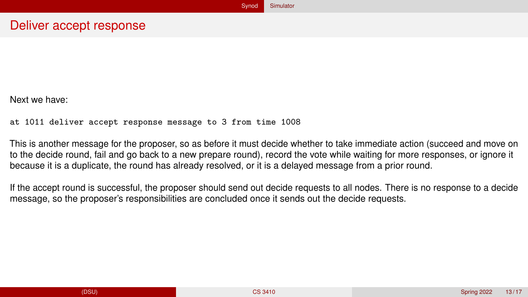#### Deliver accept response

Next we have:

at 1011 deliver accept response message to 3 from time 1008

This is another message for the proposer, so as before it must decide whether to take immediate action (succeed and move on to the decide round, fail and go back to a new prepare round), record the vote while waiting for more responses, or ignore it because it is a duplicate, the round has already resolved, or it is a delayed message from a prior round.

If the accept round is successful, the proposer should send out decide requests to all nodes. There is no response to a decide message, so the proposer's responsibilities are concluded once it sends out the decide requests.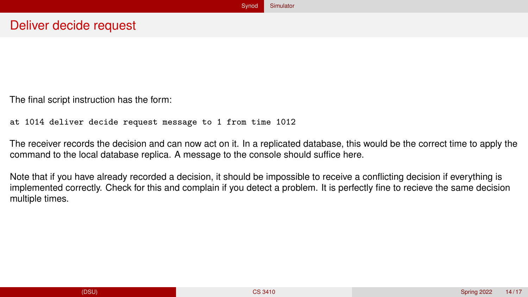The final script instruction has the form:

```
at 1014 deliver decide request message to 1 from time 1012
```
The receiver records the decision and can now act on it. In a replicated database, this would be the correct time to apply the command to the local database replica. A message to the console should suffice here.

Note that if you have already recorded a decision, it should be impossible to receive a conflicting decision if everything is implemented correctly. Check for this and complain if you detect a problem. It is perfectly fine to recieve the same decision multiple times.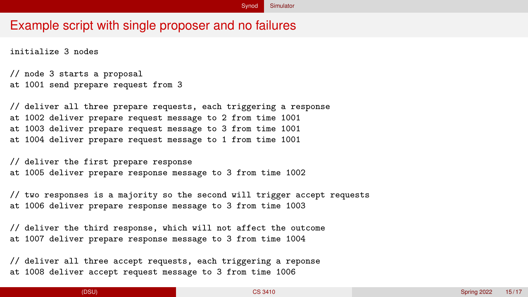### Example script with single proposer and no failures

initialize 3 nodes

```
// node 3 starts a proposal
at 1001 send prepare request from 3
```
// deliver all three prepare requests, each triggering a response at 1002 deliver prepare request message to 2 from time 1001 at 1003 deliver prepare request message to 3 from time 1001 at 1004 deliver prepare request message to 1 from time 1001

// deliver the first prepare response at 1005 deliver prepare response message to 3 from time 1002

// two responses is a majority so the second will trigger accept requests at 1006 deliver prepare response message to 3 from time 1003

// deliver the third response, which will not affect the outcome at 1007 deliver prepare response message to 3 from time 1004

// deliver all three accept requests, each triggering a reponse at 1008 deliver accept request message to 3 from time 1006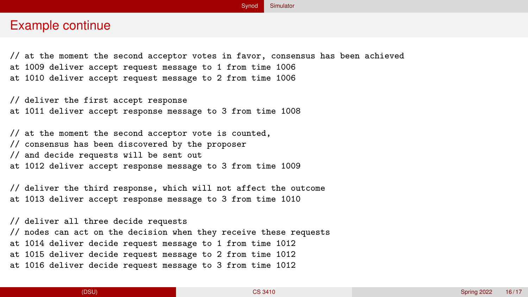#### Example continue

// at the moment the second acceptor votes in favor, consensus has been achieved at 1009 deliver accept request message to 1 from time 1006 at 1010 deliver accept request message to 2 from time 1006

// deliver the first accept response at 1011 deliver accept response message to 3 from time 1008

// at the moment the second acceptor vote is counted, // consensus has been discovered by the proposer // and decide requests will be sent out at 1012 deliver accept response message to 3 from time 1009

// deliver the third response, which will not affect the outcome at 1013 deliver accept response message to 3 from time 1010

// deliver all three decide requests // nodes can act on the decision when they receive these requests at 1014 deliver decide request message to 1 from time 1012 at 1015 deliver decide request message to 2 from time 1012 at 1016 deliver decide request message to 3 from time 1012